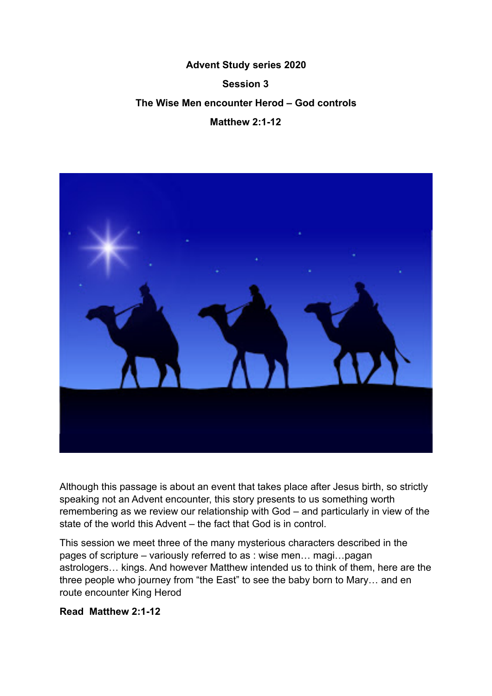## **Advent Study series 2020 Session 3 The Wise Men encounter Herod – God controls Matthew 2:1-12**



Although this passage is about an event that takes place after Jesus birth, so strictly speaking not an Advent encounter, this story presents to us something worth remembering as we review our relationship with God – and particularly in view of the state of the world this Advent – the fact that God is in control.

This session we meet three of the many mysterious characters described in the pages of scripture – variously referred to as : wise men… magi…pagan astrologers… kings. And however Matthew intended us to think of them, here are the three people who journey from "the East" to see the baby born to Mary… and en route encounter King Herod

## **Read Matthew 2:1-12**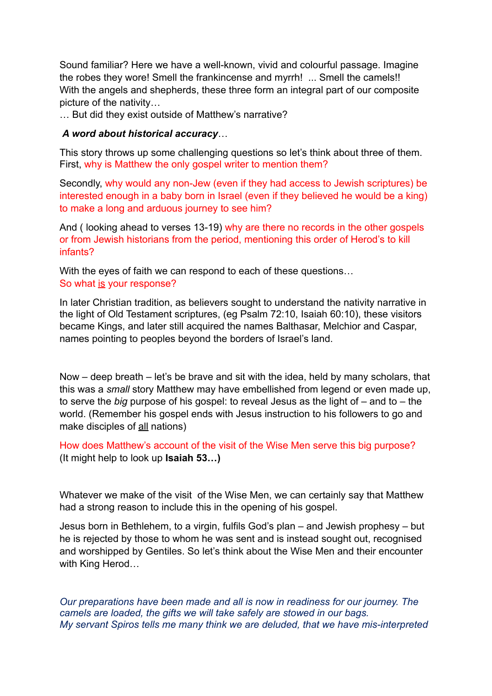Sound familiar? Here we have a well-known, vivid and colourful passage. Imagine the robes they wore! Smell the frankincense and myrrh! ... Smell the camels!! With the angels and shepherds, these three form an integral part of our composite picture of the nativity…

… But did they exist outside of Matthew's narrative?

## *A word about historical accuracy*…

This story throws up some challenging questions so let's think about three of them. First, why is Matthew the only gospel writer to mention them?

Secondly, why would any non-Jew (even if they had access to Jewish scriptures) be interested enough in a baby born in Israel (even if they believed he would be a king) to make a long and arduous journey to see him?

And ( looking ahead to verses 13-19) why are there no records in the other gospels or from Jewish historians from the period, mentioning this order of Herod's to kill infants?

With the eyes of faith we can respond to each of these questions… So what is your response?

In later Christian tradition, as believers sought to understand the nativity narrative in the light of Old Testament scriptures, (eg Psalm 72:10, Isaiah 60:10), these visitors became Kings, and later still acquired the names Balthasar, Melchior and Caspar, names pointing to peoples beyond the borders of Israel's land.

Now – deep breath – let's be brave and sit with the idea, held by many scholars, that this was a *small* story Matthew may have embellished from legend or even made up, to serve the *big* purpose of his gospel: to reveal Jesus as the light of – and to – the world. (Remember his gospel ends with Jesus instruction to his followers to go and make disciples of all nations)

How does Matthew's account of the visit of the Wise Men serve this big purpose? (It might help to look up **Isaiah 53…)** 

Whatever we make of the visit of the Wise Men, we can certainly say that Matthew had a strong reason to include this in the opening of his gospel.

Jesus born in Bethlehem, to a virgin, fulfils God's plan – and Jewish prophesy – but he is rejected by those to whom he was sent and is instead sought out, recognised and worshipped by Gentiles. So let's think about the Wise Men and their encounter with King Herod…

*Our preparations have been made and all is now in readiness for our journey. The camels are loaded, the gifts we will take safely are stowed in our bags. My servant Spiros tells me many think we are deluded, that we have mis-interpreted*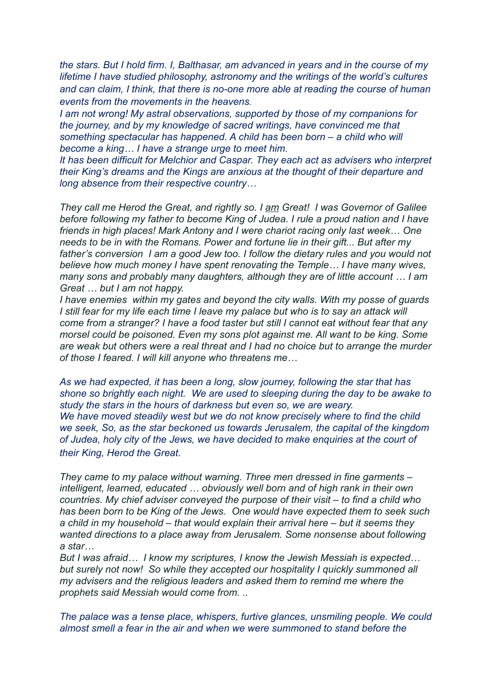*the stars. But I hold firm. I, Balthasar, am advanced in years and in the course of my lifetime I have studied philosophy, astronomy and the writings of the world's cultures and can claim, I think, that there is no-one more able at reading the course of human events from the movements in the heavens.* 

*I am not wrong! My astral observations, supported by those of my companions for the journey, and by my knowledge of sacred writings, have convinced me that something spectacular has happened. A child has been born – a child who will become a king… I have a strange urge to meet him.* 

*It has been difficult for Melchior and Caspar. They each act as advisers who interpret their King's dreams and the Kings are anxious at the thought of their departure and long absence from their respective country…* 

*They call me Herod the Great, and rightly so. I am Great! I was Governor of Galilee before following my father to become King of Judea. I rule a proud nation and I have friends in high places! Mark Antony and I were chariot racing only last week… One needs to be in with the Romans. Power and fortune lie in their gift... But after my father's conversion I am a good Jew too. I follow the dietary rules and you would not believe how much money I have spent renovating the Temple… I have many wives, many sons and probably many daughters, although they are of little account … I am Great … but I am not happy.* 

*I have enemies within my gates and beyond the city walls. With my posse of guards I still fear for my life each time I leave my palace but who is to say an attack will come from a stranger? I have a food taster but still I cannot eat without fear that any morsel could be poisoned. Even my sons plot against me. All want to be king. Some are weak but others were a real threat and I had no choice but to arrange the murder of those I feared. I will kill anyone who threatens me…* 

*As we had expected, it has been a long, slow journey, following the star that has shone so brightly each night. We are used to sleeping during the day to be awake to study the stars in the hours of darkness but even so, we are weary.*  We have moved steadily west but we do not know precisely where to find the child *we seek, So, as the star beckoned us towards Jerusalem, the capital of the kingdom of Judea, holy city of the Jews, we have decided to make enquiries at the court of their King, Herod the Great.*

*They came to my palace without warning. Three men dressed in fine garments – intelligent, learned, educated … obviously well born and of high rank in their own countries. My chief adviser conveyed the purpose of their visit – to find a child who has been born to be King of the Jews. One would have expected them to seek such a child in my household – that would explain their arrival here – but it seems they wanted directions to a place away from Jerusalem. Some nonsense about following a star…* 

*But I was afraid… I know my scriptures, I know the Jewish Messiah is expected… but surely not now! So while they accepted our hospitality I quickly summoned all my advisers and the religious leaders and asked them to remind me where the prophets said Messiah would come from. ..* 

*The palace was a tense place, whispers, furtive glances, unsmiling people. We could almost smell a fear in the air and when we were summoned to stand before the*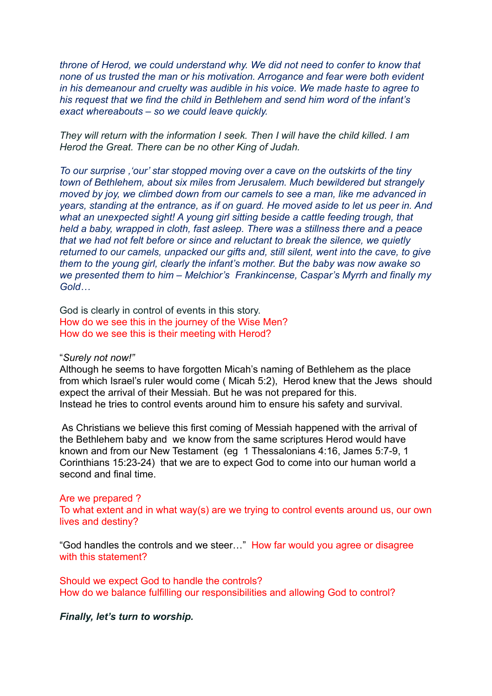*throne of Herod, we could understand why. We did not need to confer to know that none of us trusted the man or his motivation. Arrogance and fear were both evident in his demeanour and cruelty was audible in his voice. We made haste to agree to his request that we find the child in Bethlehem and send him word of the infant's exact whereabouts – so we could leave quickly.* 

*They will return with the information I seek. Then I will have the child killed. I am Herod the Great. There can be no other King of Judah.* 

*To our surprise ,'our' star stopped moving over a cave on the outskirts of the tiny town of Bethlehem, about six miles from Jerusalem. Much bewildered but strangely moved by joy, we climbed down from our camels to see a man, like me advanced in years, standing at the entrance, as if on guard. He moved aside to let us peer in. And what an unexpected sight! A young girl sitting beside a cattle feeding trough, that held a baby, wrapped in cloth, fast asleep. There was a stillness there and a peace that we had not felt before or since and reluctant to break the silence, we quietly returned to our camels, unpacked our gifts and, still silent, went into the cave, to give them to the young girl, clearly the infant's mother. But the baby was now awake so we presented them to him – Melchior's Frankincense, Caspar's Myrrh and finally my Gold…* 

God is clearly in control of events in this story. How do we see this in the journey of the Wise Men? How do we see this is their meeting with Herod?

"*Surely not now!"* 

Although he seems to have forgotten Micah's naming of Bethlehem as the place from which Israel's ruler would come ( Micah 5:2), Herod knew that the Jews should expect the arrival of their Messiah. But he was not prepared for this. Instead he tries to control events around him to ensure his safety and survival.

 As Christians we believe this first coming of Messiah happened with the arrival of the Bethlehem baby and we know from the same scriptures Herod would have known and from our New Testament (eg 1 Thessalonians 4:16, James 5:7-9, 1 Corinthians 15:23-24) that we are to expect God to come into our human world a second and final time.

Are we prepared ? To what extent and in what way(s) are we trying to control events around us, our own lives and destiny?

"God handles the controls and we steer…" How far would you agree or disagree with this statement?

Should we expect God to handle the controls? How do we balance fulfilling our responsibilities and allowing God to control?

*Finally, let's turn to worship.*